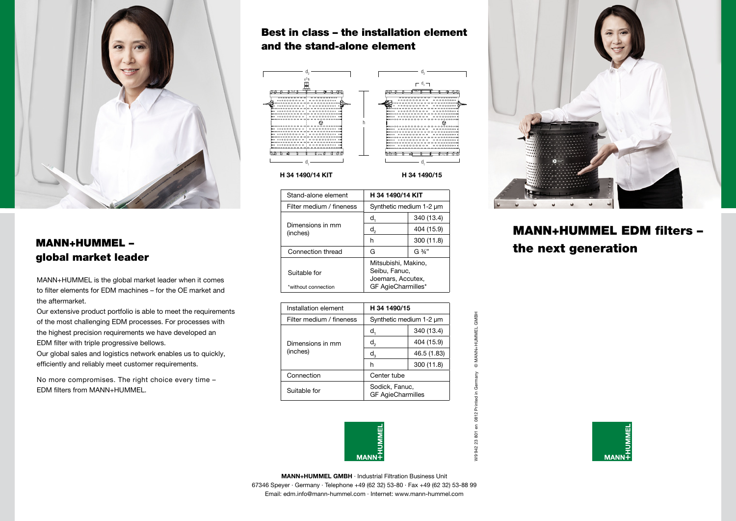

# global market leader

MANN+HUMMEL is the global market leader when it comes to filter elements for EDM machines – for the OE market and the aftermarket.

Our extensive product portfolio is able to meet the requirements of the most challenging EDM processes. For processes with the highest precision requirements we have developed an EDM filter with triple progressive bellows.

Our global sales and logistics network enables us to quickly, efficiently and reliably meet customer requirements.

No more compromises. The right choice every time – EDM filters from MANN+HUMMEL.

### Best in class – the installation element and the stand-alone element



#### **H 34 1490/14 KIT H 34 1490/15**

|                                                                                                       | Stand-alone element          | H 34 1490/14 KIT<br>Synthetic medium 1-2 um                                     |            |                       |
|-------------------------------------------------------------------------------------------------------|------------------------------|---------------------------------------------------------------------------------|------------|-----------------------|
|                                                                                                       | Filter medium / fineness     |                                                                                 |            |                       |
|                                                                                                       |                              |                                                                                 | 340 (13.4) |                       |
| <b>MANN+HUMMEL -</b><br>global market leader<br>MANN+HUMMEL is the global market leader when it comes | Dimensions in mm<br>(inches) | d.                                                                              | 404 (15.9) | <b>MANN+HUMMEL ED</b> |
|                                                                                                       |                              |                                                                                 | 300 (11.8) |                       |
|                                                                                                       | Connection thread            | G                                                                               | G 3/4"     | the next generation   |
|                                                                                                       | Suitable for                 | Mitsubishi, Makino,<br>Seibu, Fanuc,<br>Joemars, Accutex,<br>GF AgieCharmilles* |            |                       |
| to filter elements for EDM machines – for the OE market and                                           | *without connection          |                                                                                 |            |                       |

| Installation element         | H 34 1490/15                               |             |  |  |
|------------------------------|--------------------------------------------|-------------|--|--|
| Filter medium / fineness     | Synthetic medium 1-2 um                    |             |  |  |
|                              | d,                                         | 340 (13.4)  |  |  |
| Dimensions in mm<br>(inches) | d,                                         | 404 (15.9)  |  |  |
|                              | $d_{3}$                                    | 46.5 (1.83) |  |  |
|                              | h                                          | 300 (11.8)  |  |  |
| Connection                   | Center tube                                |             |  |  |
| Suitable for                 | Sodick, Fanuc,<br><b>GF AgieCharmilles</b> |             |  |  |



W9 942 23 801 en 0812 Printed in Germany © MANN+HUMMEL GMBH **IO**  $\mathbb{S}^3$ ę,



# MANN+HUMMEL EDM filters –



**MANN+HUMMEL GMBH** · Industrial Filtration Business Unit 67346 Speyer · Germany · Telephone +49 (62 32) 53-80 · Fax +49 (62 32) 53-88 99 Email: edm.info@mann-hummel.com · Internet: www.mann-hummel.com